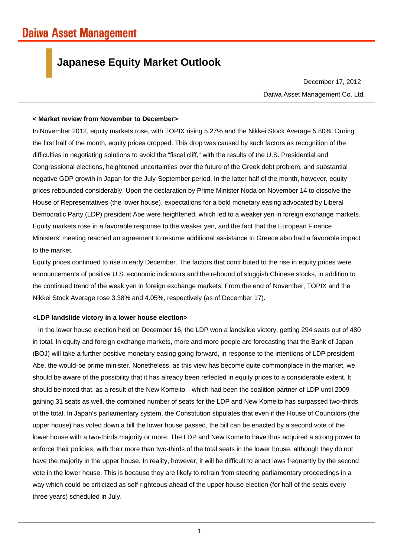# **Japanese Equity Market Outlook**

Daiwa Asset Management Co. Ltd. December 17, 2012

## **< Market review from November to December>**

In November 2012, equity markets rose, with TOPIX rising 5.27% and the Nikkei Stock Average 5.80%. During the first half of the month, equity prices dropped. This drop was caused by such factors as recognition of the difficulties in negotiating solutions to avoid the "fiscal cliff," with the results of the U.S. Presidential and Congressional elections, heightened uncertainties over the future of the Greek debt problem, and substantial negative GDP growth in Japan for the July-September period. In the latter half of the month, however, equity prices rebounded considerably. Upon the declaration by Prime Minister Noda on November 14 to dissolve the House of Representatives (the lower house), expectations for a bold monetary easing advocated by Liberal Democratic Party (LDP) president Abe were heightened, which led to a weaker yen in foreign exchange markets. Equity markets rose in a favorable response to the weaker yen, and the fact that the European Finance Ministers' meeting reached an agreement to resume additional assistance to Greece also had a favorable impact to the market.

Equity prices continued to rise in early December. The factors that contributed to the rise in equity prices were announcements of positive U.S. economic indicators and the rebound of sluggish Chinese stocks, in addition to the continued trend of the weak yen in foreign exchange markets. From the end of November, TOPIX and the Nikkei Stock Average rose 3.38% and 4.05%, respectively (as of December 17).

# **<LDP landslide victory in a lower house election>**

In the lower house election held on December 16, the LDP won a landslide victory, getting 294 seats out of 480 in total. In equity and foreign exchange markets, more and more people are forecasting that the Bank of Japan (BOJ) will take a further positive monetary easing going forward, in response to the intentions of LDP president Abe, the would-be prime minister. Nonetheless, as this view has become quite commonplace in the market, we should be aware of the possibility that it has already been reflected in equity prices to a considerable extent. It should be noted that, as a result of the New Komeito—which had been the coalition partner of LDP until 2009 gaining 31 seats as well, the combined number of seats for the LDP and New Komeito has surpassed two-thirds of the total. In Japan's parliamentary system, the Constitution stipulates that even if the House of Councilors (the upper house) has voted down a bill the lower house passed, the bill can be enacted by a second vote of the lower house with a two-thirds majority or more. The LDP and New Komeito have thus acquired a strong power to enforce their policies, with their more than two-thirds of the total seats in the lower house, although they do not have the majority in the upper house. In reality, however, it will be difficult to enact laws frequently by the second vote in the lower house. This is because they are likely to refrain from steering parliamentary proceedings in a way which could be criticized as self-righteous ahead of the upper house election (for half of the seats every three years) scheduled in July.